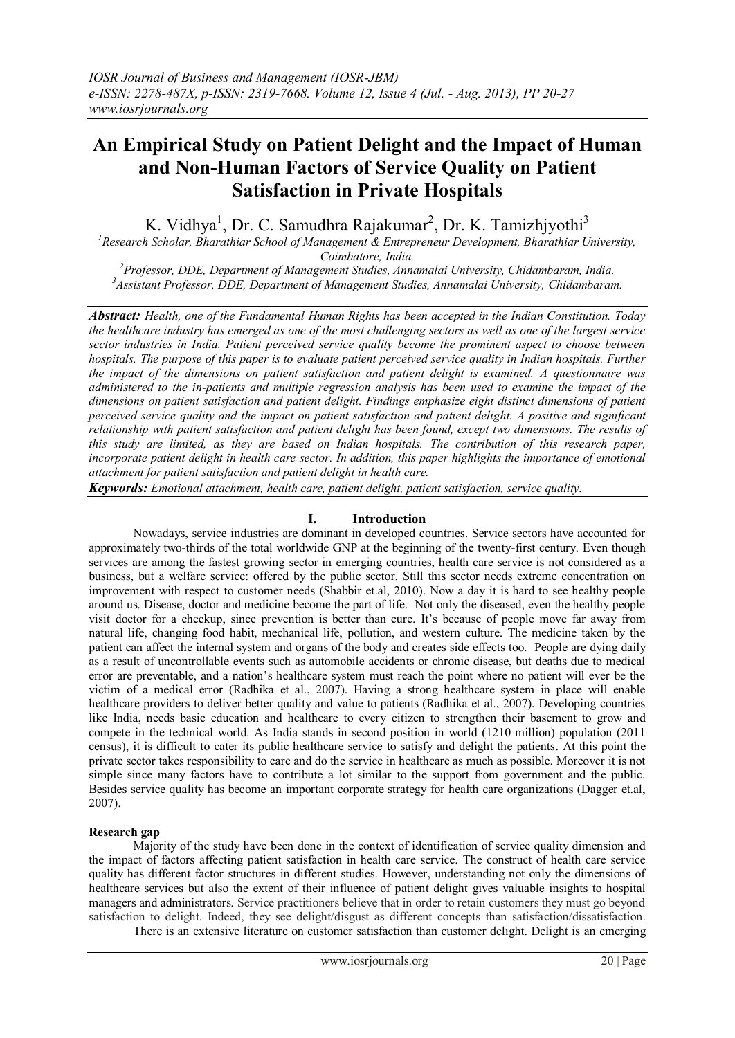# **An Empirical Study on Patient Delight and the Impact of Human and Non-Human Factors of Service Quality on Patient Satisfaction in Private Hospitals**

K. Vidhya<sup>1</sup>, Dr. C. Samudhra Rajakumar<sup>2</sup>, Dr. K. Tamizhjyothi<sup>3</sup>

*<sup>1</sup>Research Scholar, Bharathiar School of Management & Entrepreneur Development, Bharathiar University, Coimbatore, India.*

*<sup>2</sup>Professor, DDE, Department of Management Studies, Annamalai University, Chidambaram, India. <sup>3</sup>Assistant Professor, DDE, Department of Management Studies, Annamalai University, Chidambaram.*

*Abstract: Health, one of the Fundamental Human Rights has been accepted in the Indian Constitution. Today the healthcare industry has emerged as one of the most challenging sectors as well as one of the largest service sector industries in India. Patient perceived service quality become the prominent aspect to choose between hospitals. The purpose of this paper is to evaluate patient perceived service quality in Indian hospitals. Further the impact of the dimensions on patient satisfaction and patient delight is examined. A questionnaire was administered to the in-patients and multiple regression analysis has been used to examine the impact of the dimensions on patient satisfaction and patient delight. Findings emphasize eight distinct dimensions of patient perceived service quality and the impact on patient satisfaction and patient delight. A positive and significant relationship with patient satisfaction and patient delight has been found, except two dimensions. The results of this study are limited, as they are based on Indian hospitals. The contribution of this research paper, incorporate patient delight in health care sector. In addition, this paper highlights the importance of emotional attachment for patient satisfaction and patient delight in health care.* 

*Keywords: Emotional attachment, health care, patient delight, patient satisfaction, service quality.*

# **I. Introduction**

Nowadays, service industries are dominant in developed countries. Service sectors have accounted for approximately two-thirds of the total worldwide GNP at the beginning of the twenty-first century. Even though services are among the fastest growing sector in emerging countries, health care service is not considered as a business, but a welfare service: offered by the public sector. Still this sector needs extreme concentration on improvement with respect to customer needs (Shabbir et.al, 2010). Now a day it is hard to see healthy people around us. Disease, doctor and medicine become the part of life. Not only the diseased, even the healthy people visit doctor for a checkup, since prevention is better than cure. It"s because of people move far away from natural life, changing food habit, mechanical life, pollution, and western culture. The medicine taken by the patient can affect the internal system and organs of the body and creates side effects too. People are dying daily as a result of uncontrollable events such as automobile accidents or chronic disease, but deaths due to medical error are preventable, and a nation"s healthcare system must reach the point where no patient will ever be the victim of a medical error (Radhika et al., 2007). Having a strong healthcare system in place will enable healthcare providers to deliver better quality and value to patients (Radhika et al., 2007). Developing countries like India, needs basic education and healthcare to every citizen to strengthen their basement to grow and compete in the technical world. As India stands in second position in world (1210 million) population (2011 census), it is difficult to cater its public healthcare service to satisfy and delight the patients. At this point the private sector takes responsibility to care and do the service in healthcare as much as possible. Moreover it is not simple since many factors have to contribute a lot similar to the support from government and the public. Besides service quality has become an important corporate strategy for health care organizations (Dagger et.al, 2007).

#### **Research gap**

Majority of the study have been done in the context of identification of service quality dimension and the impact of factors affecting patient satisfaction in health care service. The construct of health care service quality has different factor structures in different studies. However, understanding not only the dimensions of healthcare services but also the extent of their influence of patient delight gives valuable insights to hospital managers and administrators. Service practitioners believe that in order to retain customers they must go beyond satisfaction to delight. Indeed, they see delight/disgust as different concepts than satisfaction/dissatisfaction.

There is an extensive literature on customer satisfaction than customer delight. Delight is an emerging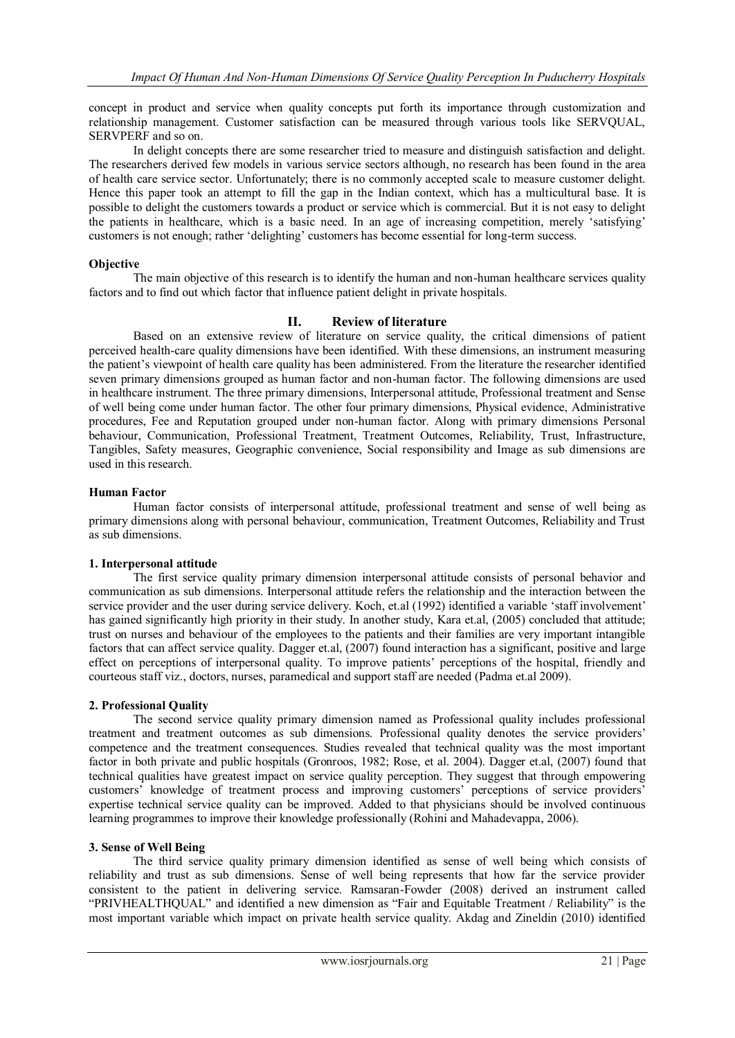concept in product and service when quality concepts put forth its importance through customization and relationship management. Customer satisfaction can be measured through various tools like SERVQUAL, SERVPERF and so on.

In delight concepts there are some researcher tried to measure and distinguish satisfaction and delight. The researchers derived few models in various service sectors although, no research has been found in the area of health care service sector. Unfortunately; there is no commonly accepted scale to measure customer delight. Hence this paper took an attempt to fill the gap in the Indian context, which has a multicultural base. It is possible to delight the customers towards a product or service which is commercial. But it is not easy to delight the patients in healthcare, which is a basic need. In an age of increasing competition, merely "satisfying" customers is not enough; rather "delighting" customers has become essential for long-term success.

# **Objective**

The main objective of this research is to identify the human and non-human healthcare services quality factors and to find out which factor that influence patient delight in private hospitals.

## **II. Review of literature**

Based on an extensive review of literature on service quality, the critical dimensions of patient perceived health-care quality dimensions have been identified. With these dimensions, an instrument measuring the patient"s viewpoint of health care quality has been administered. From the literature the researcher identified seven primary dimensions grouped as human factor and non-human factor. The following dimensions are used in healthcare instrument. The three primary dimensions, Interpersonal attitude, Professional treatment and Sense of well being come under human factor. The other four primary dimensions, Physical evidence, Administrative procedures, Fee and Reputation grouped under non-human factor. Along with primary dimensions Personal behaviour, Communication, Professional Treatment, Treatment Outcomes, Reliability, Trust, Infrastructure, Tangibles, Safety measures, Geographic convenience, Social responsibility and Image as sub dimensions are used in this research.

#### **Human Factor**

Human factor consists of interpersonal attitude, professional treatment and sense of well being as primary dimensions along with personal behaviour, communication, Treatment Outcomes, Reliability and Trust as sub dimensions.

#### **1. Interpersonal attitude**

The first service quality primary dimension interpersonal attitude consists of personal behavior and communication as sub dimensions. Interpersonal attitude refers the relationship and the interaction between the service provider and the user during service delivery. Koch, et.al (1992) identified a variable "staff involvement" has gained significantly high priority in their study. In another study, Kara et.al, (2005) concluded that attitude; trust on nurses and behaviour of the employees to the patients and their families are very important intangible factors that can affect service quality. Dagger et.al, (2007) found interaction has a significant, positive and large effect on perceptions of interpersonal quality. To improve patients" perceptions of the hospital, friendly and courteous staff viz., doctors, nurses, paramedical and support staff are needed (Padma et.al 2009).

#### **2. Professional Quality**

The second service quality primary dimension named as Professional quality includes professional treatment and treatment outcomes as sub dimensions. Professional quality denotes the service providers" competence and the treatment consequences. Studies revealed that technical quality was the most important factor in both private and public hospitals (Gronroos, 1982; Rose, et al. 2004). Dagger et.al, (2007) found that technical qualities have greatest impact on service quality perception. They suggest that through empowering customers' knowledge of treatment process and improving customers' perceptions of service providers' expertise technical service quality can be improved. Added to that physicians should be involved continuous learning programmes to improve their knowledge professionally (Rohini and Mahadevappa, 2006).

#### **3. Sense of Well Being**

The third service quality primary dimension identified as sense of well being which consists of reliability and trust as sub dimensions. Sense of well being represents that how far the service provider consistent to the patient in delivering service. Ramsaran-Fowder (2008) derived an instrument called "PRIVHEALTHQUAL" and identified a new dimension as "Fair and Equitable Treatment / Reliability" is the most important variable which impact on private health service quality. Akdag and Zineldin (2010) identified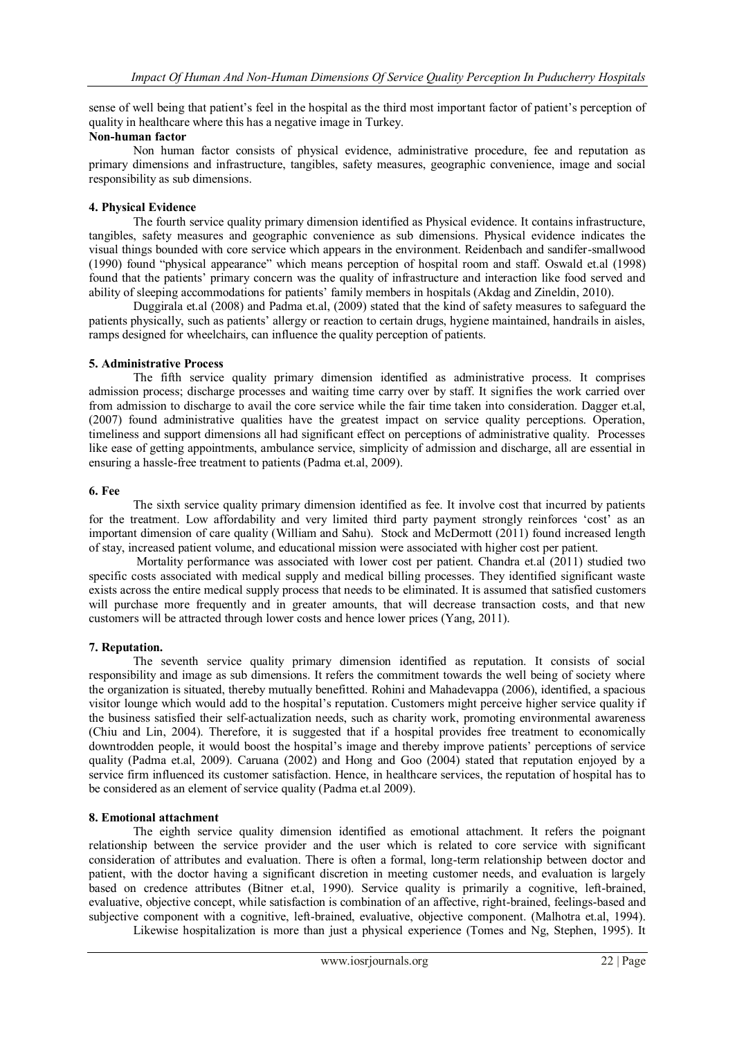sense of well being that patient"s feel in the hospital as the third most important factor of patient"s perception of quality in healthcare where this has a negative image in Turkey.

#### **Non-human factor**

Non human factor consists of physical evidence, administrative procedure, fee and reputation as primary dimensions and infrastructure, tangibles, safety measures, geographic convenience, image and social responsibility as sub dimensions.

#### **4. Physical Evidence**

The fourth service quality primary dimension identified as Physical evidence. It contains infrastructure, tangibles, safety measures and geographic convenience as sub dimensions. Physical evidence indicates the visual things bounded with core service which appears in the environment. Reidenbach and sandifer-smallwood (1990) found "physical appearance" which means perception of hospital room and staff. Oswald et.al (1998) found that the patients" primary concern was the quality of infrastructure and interaction like food served and ability of sleeping accommodations for patients" family members in hospitals (Akdag and Zineldin, 2010).

Duggirala et.al (2008) and Padma et.al, (2009) stated that the kind of safety measures to safeguard the patients physically, such as patients" allergy or reaction to certain drugs, hygiene maintained, handrails in aisles, ramps designed for wheelchairs, can influence the quality perception of patients.

#### **5. Administrative Process**

The fifth service quality primary dimension identified as administrative process. It comprises admission process; discharge processes and waiting time carry over by staff. It signifies the work carried over from admission to discharge to avail the core service while the fair time taken into consideration. Dagger et.al, (2007) found administrative qualities have the greatest impact on service quality perceptions. Operation, timeliness and support dimensions all had significant effect on perceptions of administrative quality. Processes like ease of getting appointments, ambulance service, simplicity of admission and discharge, all are essential in ensuring a hassle-free treatment to patients (Padma et.al, 2009).

#### **6. Fee**

The sixth service quality primary dimension identified as fee. It involve cost that incurred by patients for the treatment. Low affordability and very limited third party payment strongly reinforces 'cost' as an important dimension of care quality (William and Sahu). Stock and McDermott (2011) found increased length of stay, increased patient volume, and educational mission were associated with higher cost per patient.

Mortality performance was associated with lower cost per patient. Chandra et.al (2011) studied two specific costs associated with medical supply and medical billing processes. They identified significant waste exists across the entire medical supply process that needs to be eliminated. It is assumed that satisfied customers will purchase more frequently and in greater amounts, that will decrease transaction costs, and that new customers will be attracted through lower costs and hence lower prices (Yang, 2011).

#### **7. Reputation.**

The seventh service quality primary dimension identified as reputation. It consists of social responsibility and image as sub dimensions. It refers the commitment towards the well being of society where the organization is situated, thereby mutually benefitted. Rohini and Mahadevappa (2006), identified, a spacious visitor lounge which would add to the hospital"s reputation. Customers might perceive higher service quality if the business satisfied their self-actualization needs, such as charity work, promoting environmental awareness (Chiu and Lin, 2004). Therefore, it is suggested that if a hospital provides free treatment to economically downtrodden people, it would boost the hospital"s image and thereby improve patients" perceptions of service quality (Padma et.al, 2009). Caruana (2002) and Hong and Goo (2004) stated that reputation enjoyed by a service firm influenced its customer satisfaction. Hence, in healthcare services, the reputation of hospital has to be considered as an element of service quality (Padma et.al 2009).

#### **8. Emotional attachment**

The eighth service quality dimension identified as emotional attachment. It refers the poignant relationship between the service provider and the user which is related to core service with significant consideration of attributes and evaluation. There is often a formal, long-term relationship between doctor and patient, with the doctor having a significant discretion in meeting customer needs, and evaluation is largely based on credence attributes (Bitner et.al, 1990). Service quality is primarily a cognitive, left-brained, evaluative, objective concept, while satisfaction is combination of an affective, right-brained, feelings-based and subjective component with a cognitive, left-brained, evaluative, objective component. (Malhotra et.al, 1994).

Likewise hospitalization is more than just a physical experience (Tomes and Ng, Stephen, 1995). It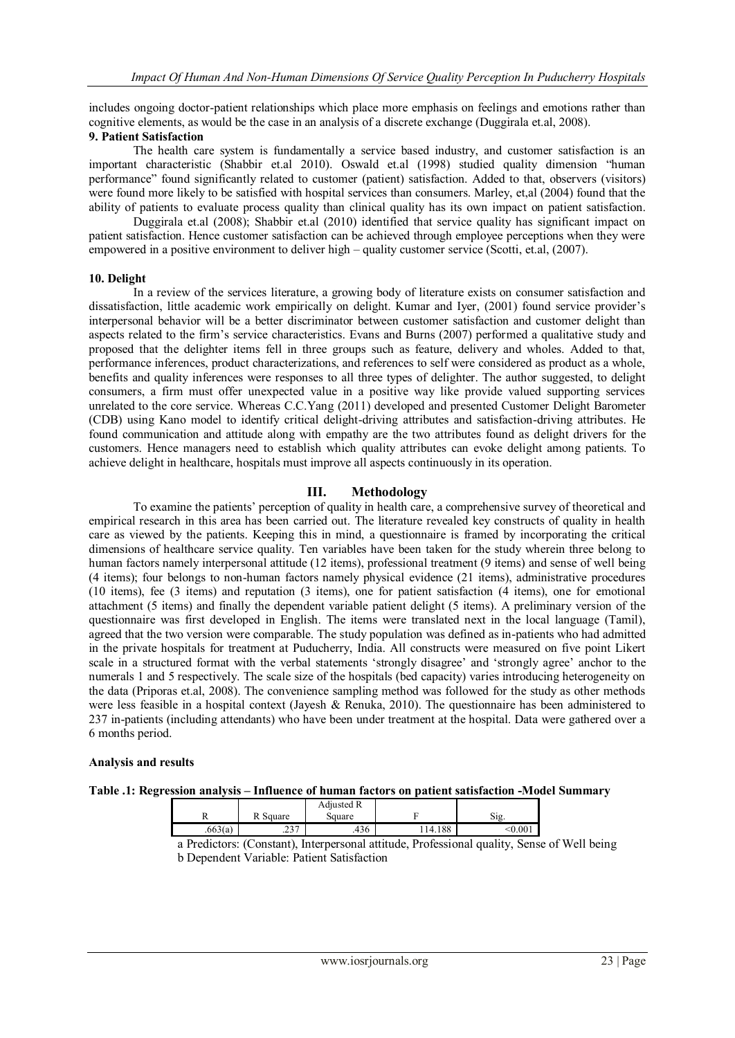includes ongoing doctor-patient relationships which place more emphasis on feelings and emotions rather than cognitive elements, as would be the case in an analysis of a discrete exchange (Duggirala et.al, 2008).

#### **9. Patient Satisfaction**

The health care system is fundamentally a service based industry, and customer satisfaction is an important characteristic (Shabbir et.al 2010). Oswald et.al (1998) studied quality dimension "human performance" found significantly related to customer (patient) satisfaction. Added to that, observers (visitors) were found more likely to be satisfied with hospital services than consumers. Marley, et,al (2004) found that the ability of patients to evaluate process quality than clinical quality has its own impact on patient satisfaction.

Duggirala et.al (2008); Shabbir et.al (2010) identified that service quality has significant impact on patient satisfaction. Hence customer satisfaction can be achieved through employee perceptions when they were empowered in a positive environment to deliver high – quality customer service (Scotti, et.al, (2007).

## **10. Delight**

In a review of the services literature, a growing body of literature exists on consumer satisfaction and dissatisfaction, little academic work empirically on delight. Kumar and Iyer, (2001) found service provider"s interpersonal behavior will be a better discriminator between customer satisfaction and customer delight than aspects related to the firm"s service characteristics. Evans and Burns (2007) performed a qualitative study and proposed that the delighter items fell in three groups such as feature, delivery and wholes. Added to that, performance inferences, product characterizations, and references to self were considered as product as a whole, benefits and quality inferences were responses to all three types of delighter. The author suggested, to delight consumers, a firm must offer unexpected value in a positive way like provide valued supporting services unrelated to the core service. Whereas C.C.Yang (2011) developed and presented Customer Delight Barometer (CDB) using Kano model to identify critical delight-driving attributes and satisfaction-driving attributes. He found communication and attitude along with empathy are the two attributes found as delight drivers for the customers. Hence managers need to establish which quality attributes can evoke delight among patients. To achieve delight in healthcare, hospitals must improve all aspects continuously in its operation.

# **III. Methodology**

To examine the patients" perception of quality in health care, a comprehensive survey of theoretical and empirical research in this area has been carried out. The literature revealed key constructs of quality in health care as viewed by the patients. Keeping this in mind, a questionnaire is framed by incorporating the critical dimensions of healthcare service quality. Ten variables have been taken for the study wherein three belong to human factors namely interpersonal attitude (12 items), professional treatment (9 items) and sense of well being (4 items); four belongs to non-human factors namely physical evidence (21 items), administrative procedures (10 items), fee (3 items) and reputation (3 items), one for patient satisfaction (4 items), one for emotional attachment (5 items) and finally the dependent variable patient delight (5 items). A preliminary version of the questionnaire was first developed in English. The items were translated next in the local language (Tamil), agreed that the two version were comparable. The study population was defined as in-patients who had admitted in the private hospitals for treatment at Puducherry, India. All constructs were measured on five point Likert scale in a structured format with the verbal statements "strongly disagree" and "strongly agree" anchor to the numerals 1 and 5 respectively. The scale size of the hospitals (bed capacity) varies introducing heterogeneity on the data (Priporas et.al, 2008). The convenience sampling method was followed for the study as other methods were less feasible in a hospital context (Jayesh & Renuka, 2010). The questionnaire has been administered to 237 in-patients (including attendants) who have been under treatment at the hospital. Data were gathered over a 6 months period.

# **Analysis and results**

# **Table .1: Regression analysis – Influence of human factors on patient satisfaction -Model Summary**

| າາ 7<br>.663(a)<br>114.188<br>$.00^{\circ}$<br>.436 | 17 | Square | Adjusted R<br>square | Sig |
|-----------------------------------------------------|----|--------|----------------------|-----|
|                                                     |    |        |                      |     |

a Predictors: (Constant), Interpersonal attitude, Professional quality, Sense of Well being b Dependent Variable: Patient Satisfaction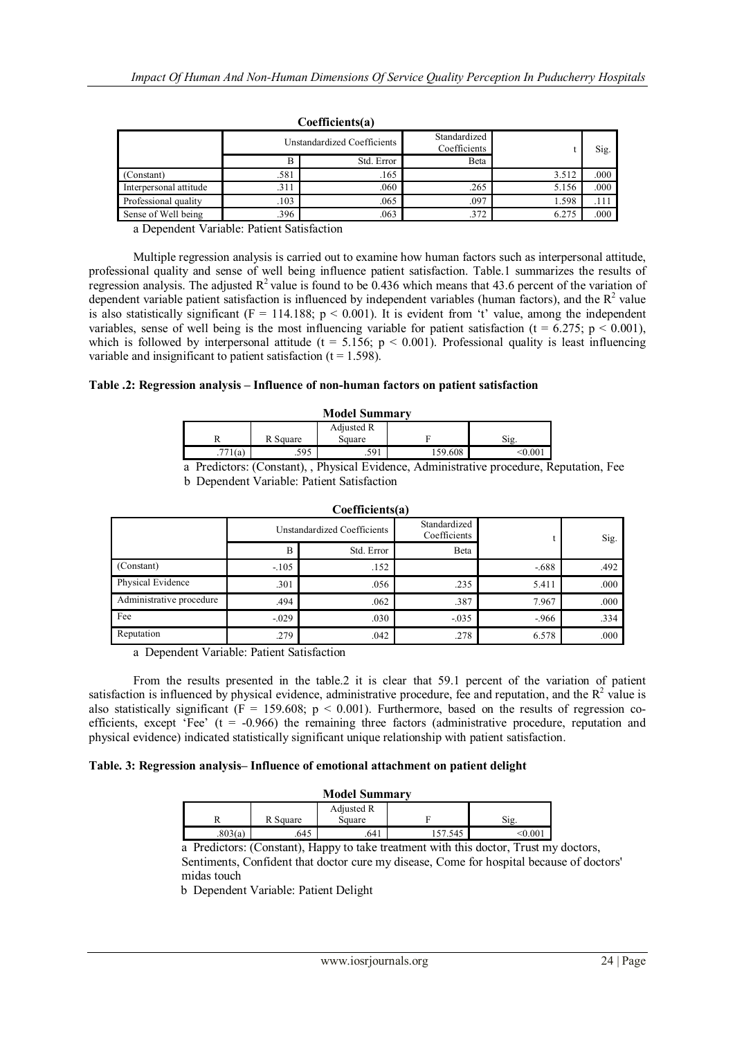|                        |      | Unstandardized Coefficients | Standardized<br>Coefficients |       | Sig. |  |  |
|------------------------|------|-----------------------------|------------------------------|-------|------|--|--|
|                        | B    | Std. Error                  | Beta                         |       |      |  |  |
| (Constant)             | .581 | .165                        |                              | 3.512 | .000 |  |  |
| Interpersonal attitude | .31  | .060                        | .265                         | 5.156 | .000 |  |  |
| Professional quality   | .103 | .065                        | .097                         | 1.598 | .111 |  |  |
| Sense of Well being    | .396 | .063                        | 372                          | 6.275 | .000 |  |  |

#### **Coefficients(a)**

a Dependent Variable: Patient Satisfaction

Multiple regression analysis is carried out to examine how human factors such as interpersonal attitude, professional quality and sense of well being influence patient satisfaction. Table.1 summarizes the results of regression analysis. The adjusted  $R^2$  value is found to be 0.436 which means that 43.6 percent of the variation of dependent variable patient satisfaction is influenced by independent variables (human factors), and the  $R<sup>2</sup>$  value is also statistically significant ( $F = 114.188$ ;  $p < 0.001$ ). It is evident from 't' value, among the independent variables, sense of well being is the most influencing variable for patient satisfaction (t =  $6.275$ ; p < 0.001), which is followed by interpersonal attitude (t = 5.156;  $p < 0.001$ ). Professional quality is least influencing variable and insignificant to patient satisfaction  $(t = 1.598)$ .

## **Table .2: Regression analysis – Influence of non-human factors on patient satisfaction**

| <b>Model Summary</b> |         |                  |                                 |         |                |
|----------------------|---------|------------------|---------------------------------|---------|----------------|
| Adjusted R           |         |                  |                                 |         |                |
|                      |         | R Square         | Square                          |         | Sig.           |
|                      | .771(a) | .595             | .591                            | 159.608 | < 0.00         |
| $\mathbf{r}$         | $\cdot$ | $\sim$<br>$\sim$ | $1 \thicksim 1$<br>$\mathbf{m}$ |         | $\blacksquare$ |

 $\Gamma$ oefficients(a)

 a Predictors: (Constant), , Physical Evidence, Administrative procedure, Reputation, Fee b Dependent Variable: Patient Satisfaction

| UULIILIUIU3141           |                             |            |                              |        |      |  |  |
|--------------------------|-----------------------------|------------|------------------------------|--------|------|--|--|
|                          | Unstandardized Coefficients |            | Standardized<br>Coefficients |        | Sig. |  |  |
|                          | B                           | Std. Error | Beta                         |        |      |  |  |
| (Constant)               | $-105$                      | .152       |                              | $-688$ | .492 |  |  |
| Physical Evidence        | .301                        | .056       | .235                         | 5.411  | .000 |  |  |
| Administrative procedure | .494                        | .062       | .387                         | 7.967  | .000 |  |  |
| Fee                      | $-0.029$                    | .030       | $-.035$                      | $-966$ | .334 |  |  |
| Reputation               | .279                        | .042       | .278                         | 6.578  | .000 |  |  |

a Dependent Variable: Patient Satisfaction

From the results presented in the table.2 it is clear that 59.1 percent of the variation of patient satisfaction is influenced by physical evidence, administrative procedure, fee and reputation, and the  $R<sup>2</sup>$  value is also statistically significant ( $F = 159.608$ ;  $p < 0.001$ ). Furthermore, based on the results of regression coefficients, except 'Fee' ( $t = -0.966$ ) the remaining three factors (administrative procedure, reputation and physical evidence) indicated statistically significant unique relationship with patient satisfaction.

## **Table. 3: Regression analysis– Influence of emotional attachment on patient delight**

#### **Model Summary**

| 17      | R Square | Adjusted R<br>Square |        | S12.    |
|---------|----------|----------------------|--------|---------|
| .803(a) | .645     | .641                 | 57.545 | < 0.001 |

a Predictors: (Constant), Happy to take treatment with this doctor, Trust my doctors, Sentiments, Confident that doctor cure my disease, Come for hospital because of doctors' midas touch

b Dependent Variable: Patient Delight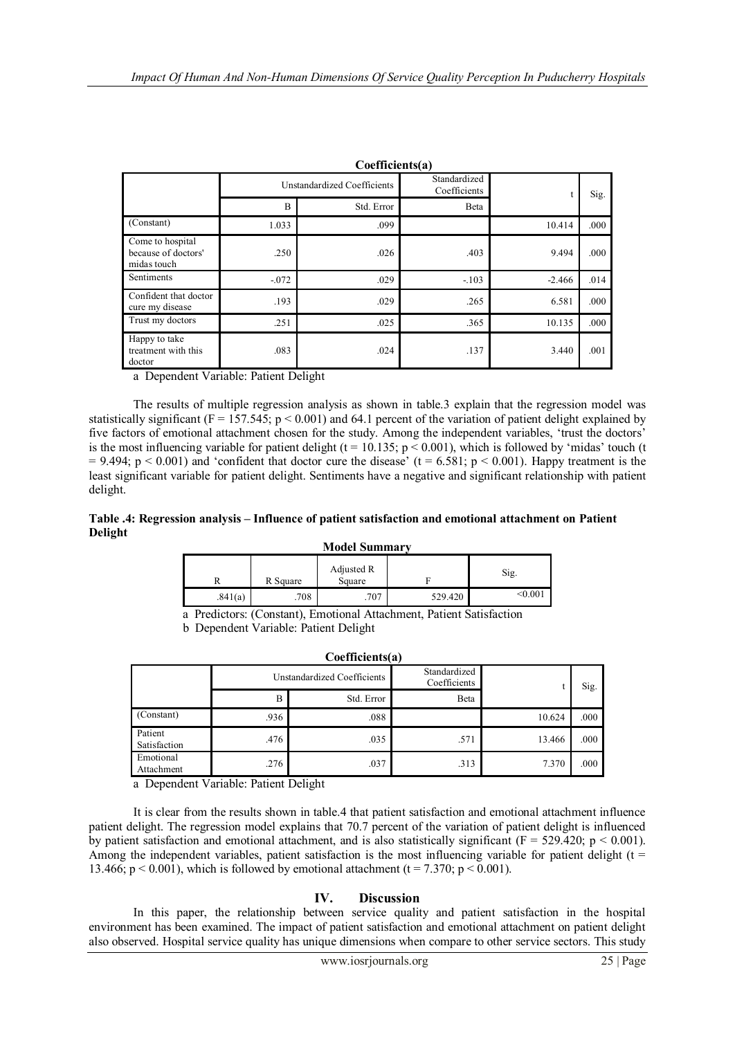|                                                        | Coefficients(a)             |            |                              |          |      |  |  |  |
|--------------------------------------------------------|-----------------------------|------------|------------------------------|----------|------|--|--|--|
|                                                        | Unstandardized Coefficients |            | Standardized<br>Coefficients | t        | Sig. |  |  |  |
|                                                        | B                           | Std. Error | Beta                         |          |      |  |  |  |
| (Constant)                                             | 1.033                       | .099       |                              | 10.414   | .000 |  |  |  |
| Come to hospital<br>because of doctors'<br>midas touch | .250                        | .026       | .403                         | 9.494    | .000 |  |  |  |
| Sentiments                                             | $-.072$                     | .029       | $-.103$                      | $-2.466$ | .014 |  |  |  |
| Confident that doctor<br>cure my disease               | .193                        | .029       | .265                         | 6.581    | .000 |  |  |  |
| Trust my doctors                                       | .251                        | .025       | .365                         | 10.135   | .000 |  |  |  |
| Happy to take<br>treatment with this<br>doctor         | .083                        | .024       | .137                         | 3.440    | .001 |  |  |  |

a Dependent Variable: Patient Delight

The results of multiple regression analysis as shown in table.3 explain that the regression model was statistically significant (F = 157.545;  $p \le 0.001$ ) and 64.1 percent of the variation of patient delight explained by five factors of emotional attachment chosen for the study. Among the independent variables, 'trust the doctors' is the most influencing variable for patient delight ( $t = 10.135$ ;  $p < 0.001$ ), which is followed by 'midas' touch (t  $= 9.494$ ; p < 0.001) and 'confident that doctor cure the disease' (t = 6.581; p < 0.001). Happy treatment is the least significant variable for patient delight. Sentiments have a negative and significant relationship with patient delight.

## **Table .4: Regression analysis – Influence of patient satisfaction and emotional attachment on Patient Delight**

#### **Model Summary**

|         | R Square | Adjusted R<br>Square |         | Sig.    |
|---------|----------|----------------------|---------|---------|
| .841(a) | .708     | .707                 | 529.420 | < 0.001 |

a Predictors: (Constant), Emotional Attachment, Patient Satisfaction

**Coefficients(a)**

b Dependent Variable: Patient Delight

| $\mathbf{C}$            |      |                             |                              |        |      |  |  |  |
|-------------------------|------|-----------------------------|------------------------------|--------|------|--|--|--|
|                         |      | Unstandardized Coefficients | Standardized<br>Coefficients |        | Sig. |  |  |  |
|                         | B    | Std. Error                  | Beta                         |        |      |  |  |  |
| (Constant)              | .936 | .088                        |                              | 10.624 | .000 |  |  |  |
| Patient<br>Satisfaction | .476 | .035                        | .571                         | 13.466 | .000 |  |  |  |
| Emotional<br>Attachment | .276 | .037                        | .313                         | 7.370  | .000 |  |  |  |

a Dependent Variable: Patient Delight

It is clear from the results shown in table.4 that patient satisfaction and emotional attachment influence patient delight. The regression model explains that 70.7 percent of the variation of patient delight is influenced by patient satisfaction and emotional attachment, and is also statistically significant ( $F = 529.420$ ; p < 0.001). Among the independent variables, patient satisfaction is the most influencing variable for patient delight ( $t =$ 13.466;  $p < 0.001$ ), which is followed by emotional attachment (t = 7.370;  $p < 0.001$ ).

# **IV. Discussion**

In this paper, the relationship between service quality and patient satisfaction in the hospital environment has been examined. The impact of patient satisfaction and emotional attachment on patient delight also observed. Hospital service quality has unique dimensions when compare to other service sectors. This study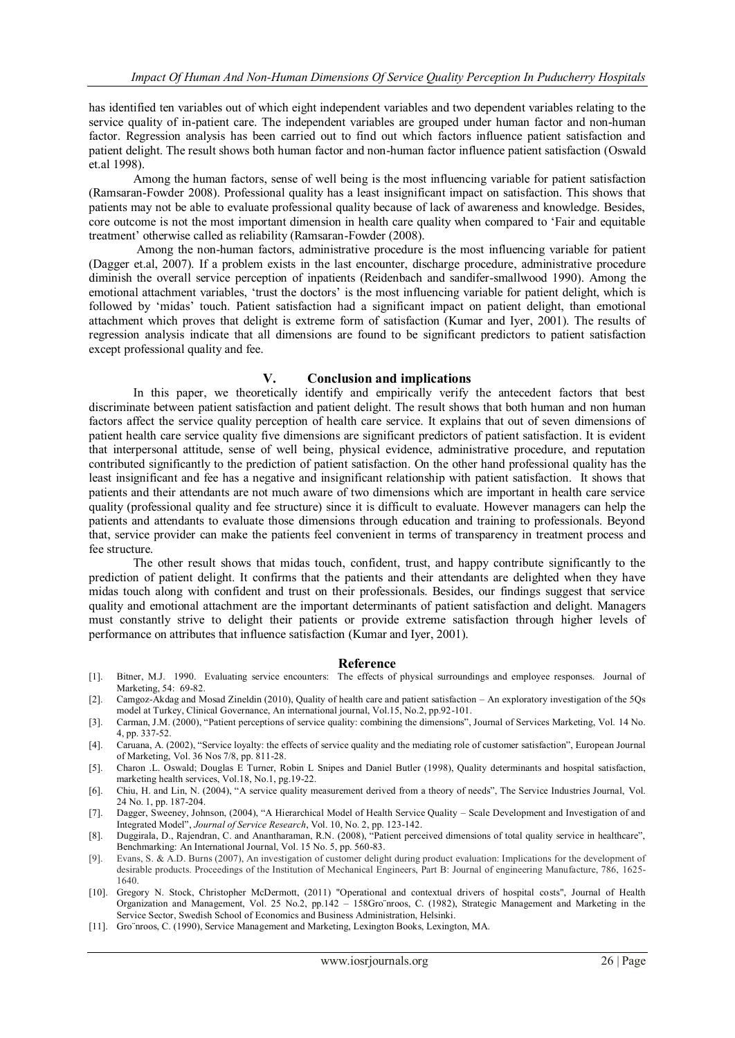has identified ten variables out of which eight independent variables and two dependent variables relating to the service quality of in-patient care. The independent variables are grouped under human factor and non-human factor. Regression analysis has been carried out to find out which factors influence patient satisfaction and patient delight. The result shows both human factor and non-human factor influence patient satisfaction (Oswald et.al 1998).

Among the human factors, sense of well being is the most influencing variable for patient satisfaction (Ramsaran-Fowder 2008). Professional quality has a least insignificant impact on satisfaction. This shows that patients may not be able to evaluate professional quality because of lack of awareness and knowledge. Besides, core outcome is not the most important dimension in health care quality when compared to "Fair and equitable treatment" otherwise called as reliability (Ramsaran-Fowder (2008).

Among the non-human factors, administrative procedure is the most influencing variable for patient (Dagger et.al, 2007). If a problem exists in the last encounter, discharge procedure, administrative procedure diminish the overall service perception of inpatients (Reidenbach and sandifer-smallwood 1990). Among the emotional attachment variables, 'trust the doctors' is the most influencing variable for patient delight, which is followed by "midas" touch. Patient satisfaction had a significant impact on patient delight, than emotional attachment which proves that delight is extreme form of satisfaction (Kumar and Iyer, 2001). The results of regression analysis indicate that all dimensions are found to be significant predictors to patient satisfaction except professional quality and fee.

#### **V. Conclusion and implications**

In this paper, we theoretically identify and empirically verify the antecedent factors that best discriminate between patient satisfaction and patient delight. The result shows that both human and non human factors affect the service quality perception of health care service. It explains that out of seven dimensions of patient health care service quality five dimensions are significant predictors of patient satisfaction. It is evident that interpersonal attitude, sense of well being, physical evidence, administrative procedure, and reputation contributed significantly to the prediction of patient satisfaction. On the other hand professional quality has the least insignificant and fee has a negative and insignificant relationship with patient satisfaction. It shows that patients and their attendants are not much aware of two dimensions which are important in health care service quality (professional quality and fee structure) since it is difficult to evaluate. However managers can help the patients and attendants to evaluate those dimensions through education and training to professionals. Beyond that, service provider can make the patients feel convenient in terms of transparency in treatment process and fee structure.

The other result shows that midas touch, confident, trust, and happy contribute significantly to the prediction of patient delight. It confirms that the patients and their attendants are delighted when they have midas touch along with confident and trust on their professionals. Besides, our findings suggest that service quality and emotional attachment are the important determinants of patient satisfaction and delight. Managers must constantly strive to delight their patients or provide extreme satisfaction through higher levels of performance on attributes that influence satisfaction (Kumar and Iyer, 2001).

#### **Reference**

- [1]. Bitner, M.J. 1990. Evaluating service encounters: The effects of physical surroundings and employee responses. Journal of Marketing, 54: 69-82.
- [2]. Camgoz-Akdag and Mosad Zineldin (2010), Quality of health care and patient satisfaction An exploratory investigation of the 5Qs model at Turkey, Clinical Governance, An international journal, Vol.15, No.2, pp.92-101.
- [3]. Carman, J.M. (2000), "Patient perceptions of service quality: combining the dimensions", Journal of Services Marketing, Vol. 14 No. 4, pp. 337-52.
- [4]. Caruana, A. (2002), "Service loyalty: the effects of service quality and the mediating role of customer satisfaction", European Journal of Marketing, Vol. 36 Nos 7/8, pp. 811-28.
- [5]. Charon .L. Oswald; Douglas E Turner, Robin L Snipes and Daniel Butler (1998), Quality determinants and hospital satisfaction, marketing health services, Vol.18, No.1, pg.19-22.
- [6]. Chiu, H. and Lin, N. (2004), "A service quality measurement derived from a theory of needs", The Service Industries Journal, Vol. 24 No. 1, pp. 187-204.
- [7]. Dagger, Sweeney, Johnson, (2004), "A Hierarchical Model of Health Service Quality Scale Development and Investigation of and Integrated Model", *Journal of Service Research*, Vol. 10, No. 2, pp. 123-142.
- [8]. Duggirala, D., Rajendran, C. and Anantharaman, R.N. (2008), "Patient perceived dimensions of total quality service in healthcare", Benchmarking: An International Journal, Vol. 15 No. 5, pp. 560-83.
- [9]. Evans, S. & A.D. Burns (2007), An investigation of customer delight during product evaluation: Implications for the development of desirable products. Proceedings of the Institution of Mechanical Engineers, Part B: Journal of engineering Manufacture, 786, 1625- 1640.
- [10]. Gregory N. Stock, Christopher McDermott, (2011) "Operational and contextual drivers of hospital costs", Journal of Health Organization and Management, Vol. 25 No.2, pp.142 – 158Gro¨nroos, C. (1982), Strategic Management and Marketing in the Service Sector, Swedish School of Economics and Business Administration, Helsinki.
- [11]. Gro¨nroos, C. (1990), Service Management and Marketing, Lexington Books, Lexington, MA.